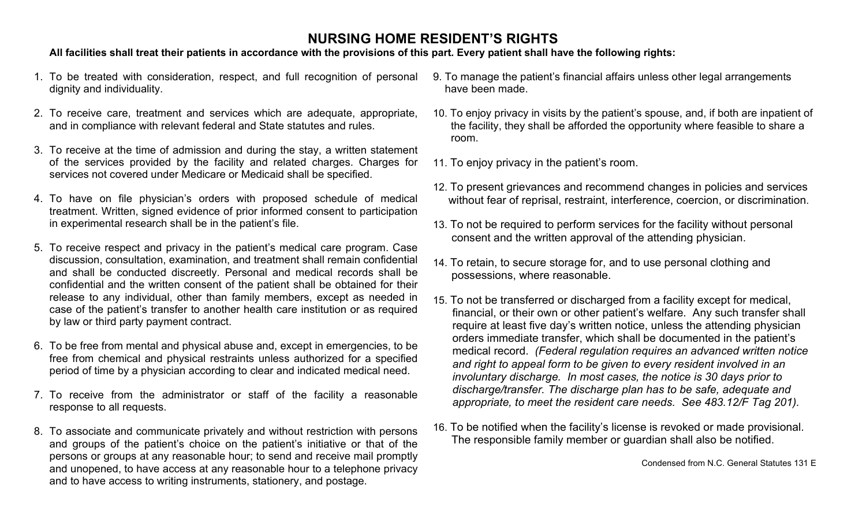## **NURSING HOME RESIDENT'S RIGHTS**

### **All facilities shall treat their patients in accordance with the provisions of this part. Every patient shall have the following rights:**

- 1. To be treated with consideration, respect, and full recognition of personal dignity and individuality.
- 2. To receive care, treatment and services which are adequate, appropriate, and in compliance with relevant federal and State statutes and rules.
- 3. To receive at the time of admission and during the stay, a written statement of the services provided by the facility and related charges. Charges for services not covered under Medicare or Medicaid shall be specified.
- 4. To have on file physician's orders with proposed schedule of medical treatment. Written, signed evidence of prior informed consent to participation in experimental research shall be in the patient's file.
- 5. To receive respect and privacy in the patient's medical care program. Case discussion, consultation, examination, and treatment shall remain confidential and shall be conducted discreetly. Personal and medical records shall be confidential and the written consent of the patient shall be obtained for their release to any individual, other than family members, except as needed in case of the patient's transfer to another health care institution or as required by law or third party payment contract.
- 6. To be free from mental and physical abuse and, except in emergencies, to be free from chemical and physical restraints unless authorized for a specified period of time by a physician according to clear and indicated medical need.
- 7. To receive from the administrator or staff of the facility a reasonable response to all requests.
- 8. To associate and communicate privately and without restriction with persons and groups of the patient's choice on the patient's initiative or that of the persons or groups at any reasonable hour; to send and receive mail promptly and unopened, to have access at any reasonable hour to a telephone privacy and to have access to writing instruments, stationery, and postage.
- 9. To manage the patient's financial affairs unless other legal arrangements have been made.
- 10. To enjoy privacy in visits by the patient's spouse, and, if both are inpatient of the facility, they shall be afforded the opportunity where feasible to share a room.
- 11. To enjoy privacy in the patient's room.
- 12. To present grievances and recommend changes in policies and services without fear of reprisal, restraint, interference, coercion, or discrimination.
- 13. To not be required to perform services for the facility without personal consent and the written approval of the attending physician.
- 14. To retain, to secure storage for, and to use personal clothing and possessions, where reasonable.
- 15. To not be transferred or discharged from a facility except for medical, financial, or their own or other patient's welfare. Any such transfer shall require at least five day's written notice, unless the attending physician orders immediate transfer, which shall be documented in the patient's medical record. *(Federal regulation requires an advanced written notice and right to appeal form to be given to every resident involved in an involuntary discharge. In most cases, the notice is 30 days prior to discharge/transfer. The discharge plan has to be safe, adequate and appropriate, to meet the resident care needs. See 483.12/F Tag 201).*
- 16. To be notified when the facility's license is revoked or made provisional. The responsible family member or guardian shall also be notified.